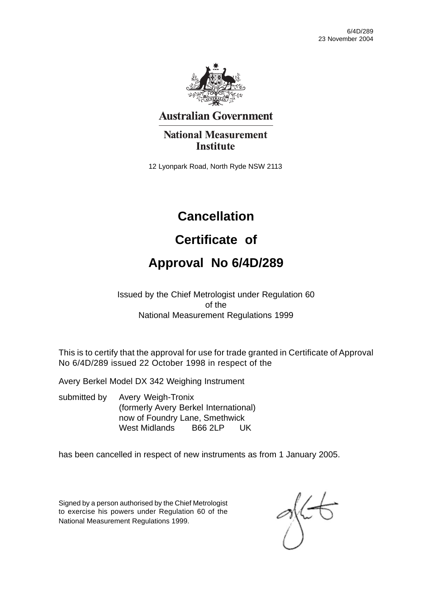

## **Australian Government**

## **National Measurement Institute**

12 Lyonpark Road, North Ryde NSW 2113

## **Cancellation**

## **Certificate of**

## **Approval No 6/4D/289**

Issued by the Chief Metrologist under Regulation 60 of the National Measurement Regulations 1999

This is to certify that the approval for use for trade granted in Certificate of Approval No 6/4D/289 issued 22 October 1998 in respect of the

Avery Berkel Model DX 342 Weighing Instrument

submitted by Avery Weigh-Tronix (formerly Avery Berkel International) now of Foundry Lane, Smethwick West Midlands B66 2LP UK

has been cancelled in respect of new instruments as from 1 January 2005.

Signed by a person authorised by the Chief Metrologist to exercise his powers under Regulation 60 of the National Measurement Regulations 1999.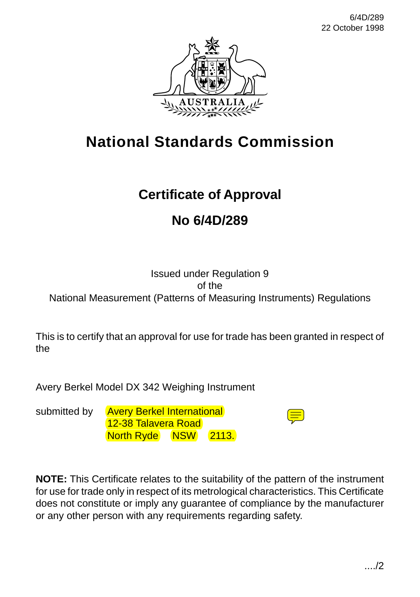

# **National Standards Commission**

## **Certificate of Approval**

## **No 6/4D/289**

#### Issued under Regulation 9 of the National Measurement (Patterns of Measuring Instruments) Regulations

This is to certify that an approval for use for trade has been granted in respect of the

Avery Berkel Model DX 342 Weighing Instrument

submitted by Avery Berkel International 12-38 Talavera Road North Ryde NSW 2113.



**NOTE:** This Certificate relates to the suitability of the pattern of the instrument for use for trade only in respect of its metrological characteristics. This Certificate does not constitute or imply any guarantee of compliance by the manufacturer or any other person with any requirements regarding safety.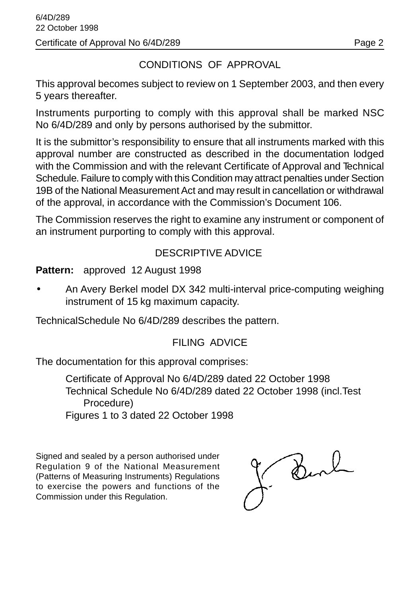## CONDITIONS OF APPROVAL

This approval becomes subject to review on 1 September 2003, and then every 5 years thereafter.

Instruments purporting to comply with this approval shall be marked NSC No 6/4D/289 and only by persons authorised by the submittor.

It is the submittor's responsibility to ensure that all instruments marked with this approval number are constructed as described in the documentation lodged with the Commission and with the relevant Certificate of Approval and Technical Schedule. Failure to comply with this Condition may attract penalties under Section 19B of the National Measurement Act and may result in cancellation or withdrawal of the approval, in accordance with the Commission's Document 106.

The Commission reserves the right to examine any instrument or component of an instrument purporting to comply with this approval.

#### DESCRIPTIVE ADVICE

**Pattern:** approved 12 August 1998

• An Avery Berkel model DX 342 multi-interval price-computing weighing instrument of 15 kg maximum capacity.

TechnicalSchedule No 6/4D/289 describes the pattern.

### FILING ADVICE

The documentation for this approval comprises:

Certificate of Approval No 6/4D/289 dated 22 October 1998 Technical Schedule No 6/4D/289 dated 22 October 1998 (incl.Test Procedure) Figures 1 to 3 dated 22 October 1998

Signed and sealed by a person authorised under Regulation 9 of the National Measurement (Patterns of Measuring Instruments) Regulations to exercise the powers and functions of the Commission under this Regulation.

Burl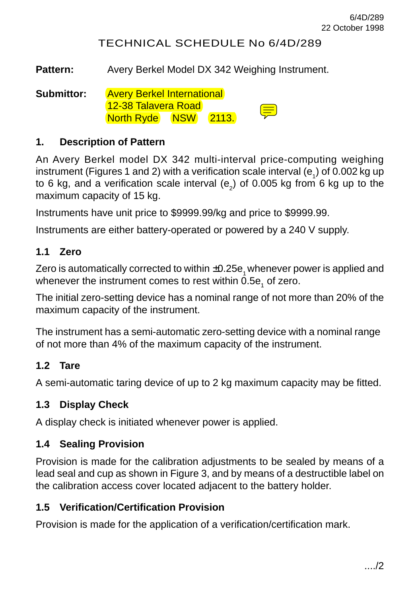### TECHNICAL SCHEDULE No 6/4D/289

Pattern: Avery Berkel Model DX 342 Weighing Instrument.

**Submittor:** Avery Berkel International 12-38 Talavera Road North Ryde NSW 2113.

#### **1. Description of Pattern**

An Avery Berkel model DX 342 multi-interval price-computing weighing instrument (Figures 1 and 2) with a verification scale interval (e<sub>1</sub>) of 0.002 kg up to 6 kg, and a verification scale interval (e<sub>2</sub>) of 0.005 kg from 6 kg up to the maximum capacity of 15 kg.

Instruments have unit price to \$9999.99/kg and price to \$9999.99.

Instruments are either battery-operated or powered by a 240 V supply.

#### **1.1 Zero**

Zero is automatically corrected to within  $\pm 0.25e$ , whenever power is applied and whenever the instrument comes to rest within 0.5e<sub>1</sub> of zero.

The initial zero-setting device has a nominal range of not more than 20% of the maximum capacity of the instrument.

The instrument has a semi-automatic zero-setting device with a nominal range of not more than 4% of the maximum capacity of the instrument.

#### **1.2 Tare**

A semi-automatic taring device of up to 2 kg maximum capacity may be fitted.

#### **1.3 Display Check**

A display check is initiated whenever power is applied.

#### **1.4 Sealing Provision**

Provision is made for the calibration adjustments to be sealed by means of a lead seal and cup as shown in Figure 3, and by means of a destructible label on the calibration access cover located adjacent to the battery holder.

#### **1.5 Verification/Certification Provision**

Provision is made for the application of a verification/certification mark.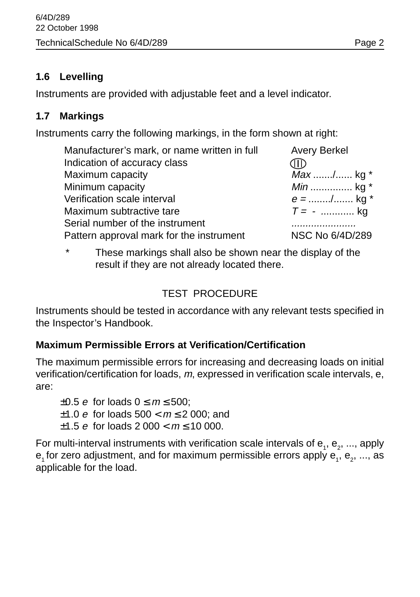### **1.6 Levelling**

Instruments are provided with adjustable feet and a level indicator.

### **1.7 Markings**

Instruments carry the following markings, in the form shown at right:

| Manufacturer's mark, or name written in full | <b>Avery Berkel</b> |
|----------------------------------------------|---------------------|
| Indication of accuracy class                 |                     |
| Maximum capacity                             | Max / kg *          |
| Minimum capacity                             | <i>Min</i> kg $*$   |
| Verification scale interval                  | $e =$ / kg *        |
| Maximum subtractive tare                     | $T = -$ kg          |
| Serial number of the instrument              |                     |
| Pattern approval mark for the instrument     | NSC No 6/4D/289     |

These markings shall also be shown near the display of the result if they are not already located there.

## TEST PROCEDURE

Instruments should be tested in accordance with any relevant tests specified in the Inspector's Handbook.

### **Maximum Permissible Errors at Verification/Certification**

The maximum permissible errors for increasing and decreasing loads on initial verification/certification for loads, m, expressed in verification scale intervals, e, are:

 $\pm 0.5$  e for loads  $0 \le m \le 500$ ; ±1.0 *e* for loads  $500 < m \le 2000$ ; and  $\pm 1.5$  e for loads 2 000  $\lt m \lt 10$  000.

For multi-interval instruments with verification scale intervals of  ${\sf e}_{_1},$   ${\sf e}_{_2},$  ..., apply  ${\sf e}_{\scriptscriptstyle 1}$ for zero adjustment, and for maximum permissible errors apply  ${\sf e}_{\scriptscriptstyle 1}^{} ,$   ${\sf e}_{\scriptscriptstyle 2}^{} ,$  ..., as applicable for the load.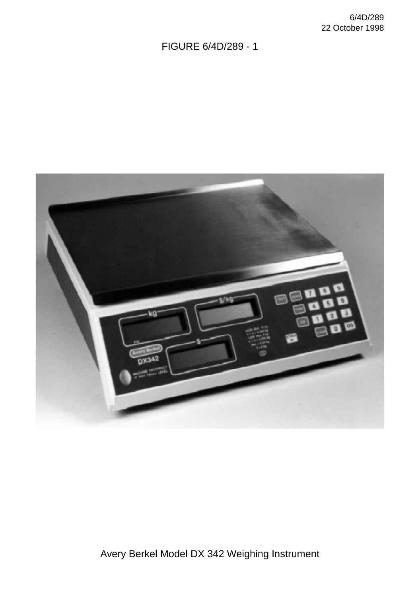FIGURE 6/4D/289 - 1



Avery Berkel Model DX 342 Weighing Instrument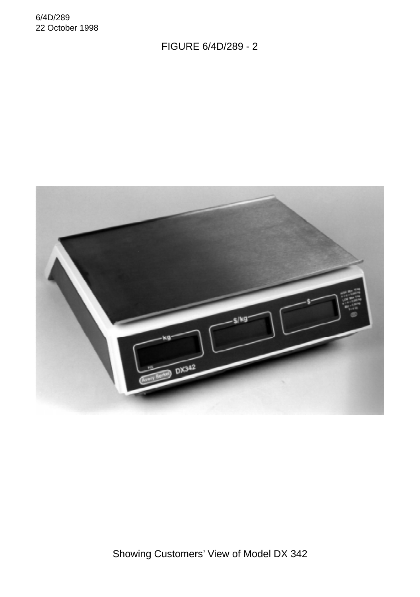6/4D/289 22 October 1998

FIGURE 6/4D/289 - 2



Showing Customers' View of Model DX 342